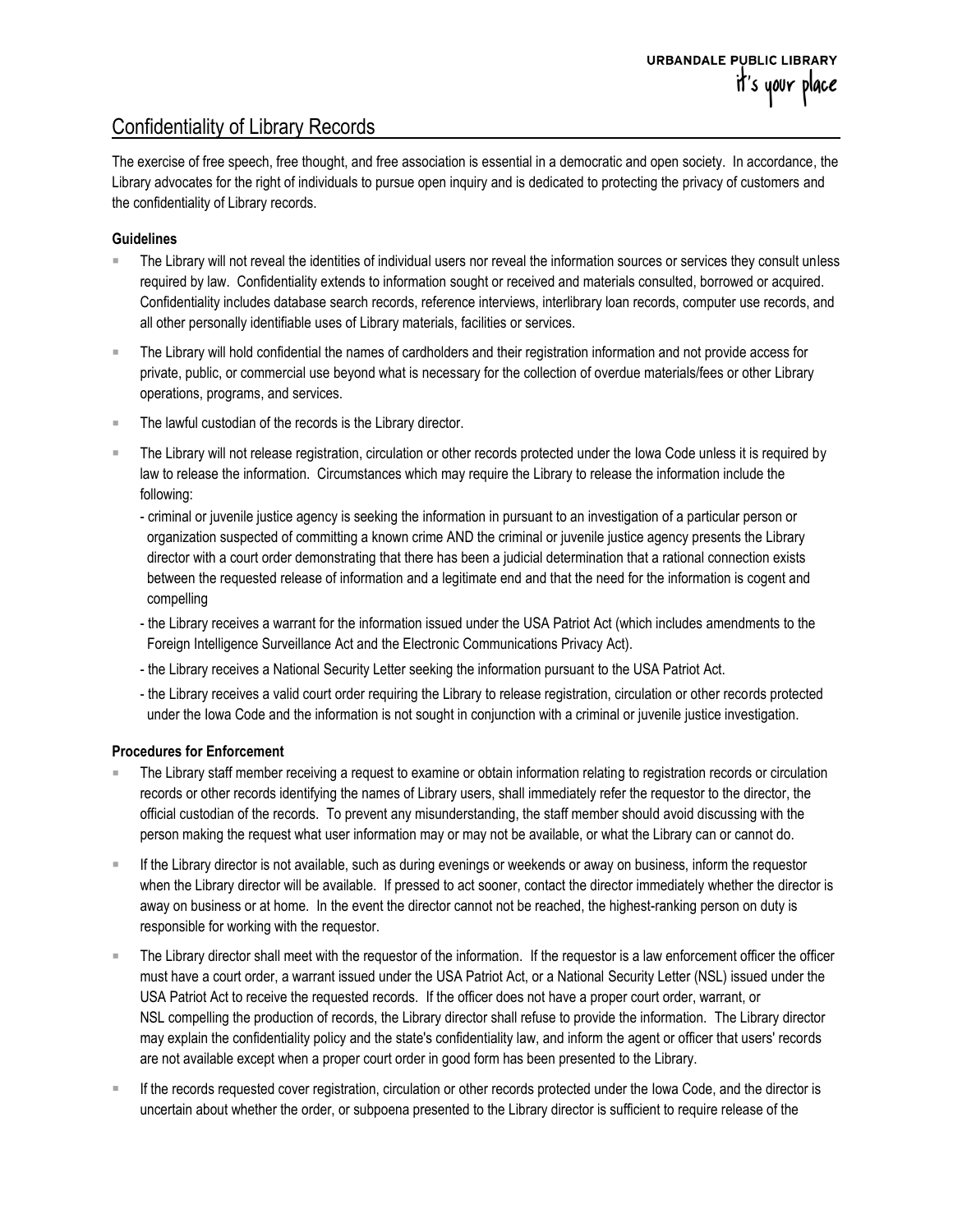## Confidentiality of Library Records

The exercise of free speech, free thought, and free association is essential in a democratic and open society. In accordance, the Library advocates for the right of individuals to pursue open inquiry and is dedicated to protecting the privacy of customers and the confidentiality of Library records.

## **Guidelines**

- The Library will not reveal the identities of individual users nor reveal the information sources or services they consult unless required by law. Confidentiality extends to information sought or received and materials consulted, borrowed or acquired. Confidentiality includes database search records, reference interviews, interlibrary loan records, computer use records, and all other personally identifiable uses of Library materials, facilities or services.
- The Library will hold confidential the names of cardholders and their registration information and not provide access for private, public, or commercial use beyond what is necessary for the collection of overdue materials/fees or other Library operations, programs, and services.
- The lawful custodian of the records is the Library director.
- The Library will not release registration, circulation or other records protected under the Iowa Code unless it is required by law to release the information. Circumstances which may require the Library to release the information include the following:
	- criminal or juvenile justice agency is seeking the information in pursuant to an investigation of a particular person or organization suspected of committing a known crime AND the criminal or juvenile justice agency presents the Library director with a court order demonstrating that there has been a judicial determination that a rational connection exists between the requested release of information and a legitimate end and that the need for the information is cogent and compelling
	- the Library receives a warrant for the information issued under the USA Patriot Act (which includes amendments to the Foreign Intelligence Surveillance Act and the Electronic Communications Privacy Act).
	- the Library receives a National Security Letter seeking the information pursuant to the USA Patriot Act.
	- the Library receives a valid court order requiring the Library to release registration, circulation or other records protected under the Iowa Code and the information is not sought in conjunction with a criminal or juvenile justice investigation.

## **Procedures for Enforcement**

- The Library staff member receiving a request to examine or obtain information relating to registration records or circulation records or other records identifying the names of Library users, shall immediately refer the requestor to the director, the official custodian of the records. To prevent any misunderstanding, the staff member should avoid discussing with the person making the request what user information may or may not be available, or what the Library can or cannot do.
- If the Library director is not available, such as during evenings or weekends or away on business, inform the requestor when the Library director will be available. If pressed to act sooner, contact the director immediately whether the director is away on business or at home. In the event the director cannot not be reached, the highest-ranking person on duty is responsible for working with the requestor.
- The Library director shall meet with the requestor of the information. If the requestor is a law enforcement officer the officer must have a court order, a warrant issued under the USA Patriot Act, or a National Security Letter (NSL) issued under the USA Patriot Act to receive the requested records. If the officer does not have a proper court order, warrant, or NSL compelling the production of records, the Library director shall refuse to provide the information. The Library director may explain the confidentiality policy and the state's confidentiality law, and inform the agent or officer that users' records are not available except when a proper court order in good form has been presented to the Library.
- If the records requested cover registration, circulation or other records protected under the Iowa Code, and the director is uncertain about whether the order, or subpoena presented to the Library director is sufficient to require release of the